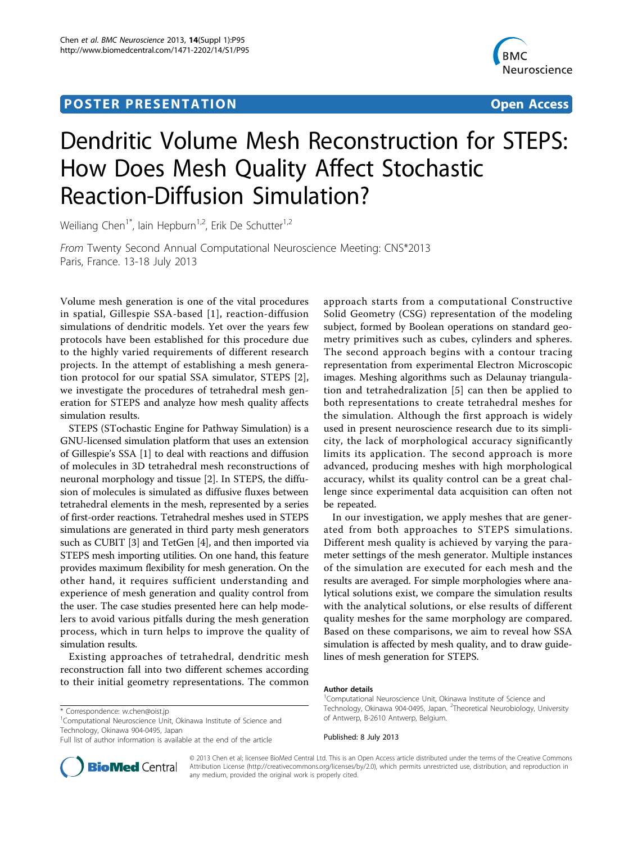# **POSTER PRESENTATION CONSUMING ACCESS**



# Dendritic Volume Mesh Reconstruction for STEPS: How Does Mesh Quality Affect Stochastic Reaction-Diffusion Simulation?

Weiliang Chen<sup>1\*</sup>, Iain Hepburn<sup>1,2</sup>, Erik De Schutter<sup>1,2</sup>

From Twenty Second Annual Computational Neuroscience Meeting: CNS\*2013 Paris, France. 13-18 July 2013

Volume mesh generation is one of the vital procedures in spatial, Gillespie SSA-based [[1](#page-1-0)], reaction-diffusion simulations of dendritic models. Yet over the years few protocols have been established for this procedure due to the highly varied requirements of different research projects. In the attempt of establishing a mesh generation protocol for our spatial SSA simulator, STEPS [[2](#page-1-0)], we investigate the procedures of tetrahedral mesh generation for STEPS and analyze how mesh quality affects simulation results.

STEPS (STochastic Engine for Pathway Simulation) is a GNU-licensed simulation platform that uses an extension of Gillespie's SSA [[1\]](#page-1-0) to deal with reactions and diffusion of molecules in 3D tetrahedral mesh reconstructions of neuronal morphology and tissue [\[2\]](#page-1-0). In STEPS, the diffusion of molecules is simulated as diffusive fluxes between tetrahedral elements in the mesh, represented by a series of first-order reactions. Tetrahedral meshes used in STEPS simulations are generated in third party mesh generators such as CUBIT [[3](#page-1-0)] and TetGen [[4](#page-1-0)], and then imported via STEPS mesh importing utilities. On one hand, this feature provides maximum flexibility for mesh generation. On the other hand, it requires sufficient understanding and experience of mesh generation and quality control from the user. The case studies presented here can help modelers to avoid various pitfalls during the mesh generation process, which in turn helps to improve the quality of simulation results.

Existing approaches of tetrahedral, dendritic mesh reconstruction fall into two different schemes according to their initial geometry representations. The common

<sup>1</sup>Computational Neuroscience Unit, Okinawa Institute of Science and Technology, Okinawa 904-0495, Japan



In our investigation, we apply meshes that are generated from both approaches to STEPS simulations. Different mesh quality is achieved by varying the parameter settings of the mesh generator. Multiple instances of the simulation are executed for each mesh and the results are averaged. For simple morphologies where analytical solutions exist, we compare the simulation results with the analytical solutions, or else results of different quality meshes for the same morphology are compared. Based on these comparisons, we aim to reveal how SSA simulation is affected by mesh quality, and to draw guidelines of mesh generation for STEPS.

### Author details

Published: 8 July 2013



© 2013 Chen et al; licensee BioMed Central Ltd. This is an Open Access article distributed under the terms of the Creative Commons Attribution License [\(http://creativecommons.org/licenses/by/2.0](http://creativecommons.org/licenses/by/2.0)), which permits unrestricted use, distribution, and reproduction in any medium, provided the original work is properly cited.

<sup>\*</sup> Correspondence: [w.chen@oist.jp](mailto:w.chen@oist.jp)

Full list of author information is available at the end of the article

<sup>&</sup>lt;sup>1</sup> Computational Neuroscience Unit, Okinawa Institute of Science and Technology, Okinawa 904-0495, Japan. <sup>2</sup>Theoretical Neurobiology, University of Antwerp, B-2610 Antwerp, Belgium.